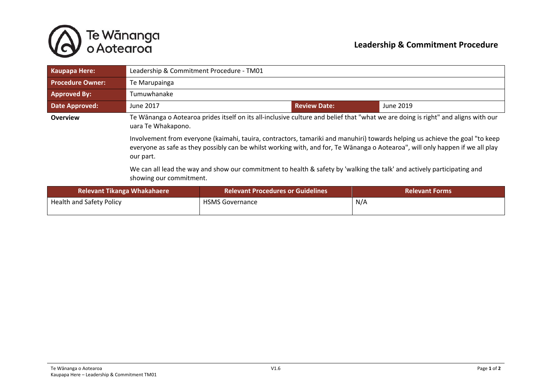

| <b>Kaupapa Here:</b>               | Leadership & Commitment Procedure - TM01                                                                                                                                                                                                                                                                                                                                                                                               |                                          |                     |                       |  |
|------------------------------------|----------------------------------------------------------------------------------------------------------------------------------------------------------------------------------------------------------------------------------------------------------------------------------------------------------------------------------------------------------------------------------------------------------------------------------------|------------------------------------------|---------------------|-----------------------|--|
| <b>Procedure Owner:</b>            | Te Marupainga                                                                                                                                                                                                                                                                                                                                                                                                                          |                                          |                     |                       |  |
| <b>Approved By:</b>                | Tumuwhanake                                                                                                                                                                                                                                                                                                                                                                                                                            |                                          |                     |                       |  |
| <b>Date Approved:</b>              | June 2017                                                                                                                                                                                                                                                                                                                                                                                                                              |                                          | <b>Review Date:</b> | June 2019             |  |
| <b>Overview</b>                    | Te Wānanga o Aotearoa prides itself on its all-inclusive culture and belief that "what we are doing is right" and aligns with our<br>uara Te Whakapono.<br>Involvement from everyone (kaimahi, tauira, contractors, tamariki and manuhiri) towards helping us achieve the goal "to keep<br>everyone as safe as they possibly can be whilst working with, and for, Te Wānanga o Aotearoa", will only happen if we all play<br>our part. |                                          |                     |                       |  |
|                                    |                                                                                                                                                                                                                                                                                                                                                                                                                                        |                                          |                     |                       |  |
|                                    | We can all lead the way and show our commitment to health & safety by 'walking the talk' and actively participating and<br>showing our commitment.                                                                                                                                                                                                                                                                                     |                                          |                     |                       |  |
| <b>Relevant Tikanga Whakahaere</b> |                                                                                                                                                                                                                                                                                                                                                                                                                                        | <b>Relevant Procedures or Guidelines</b> |                     | <b>Relevant Forms</b> |  |
| <b>Health and Safety Policy</b>    |                                                                                                                                                                                                                                                                                                                                                                                                                                        | <b>HSMS Governance</b>                   |                     | N/A                   |  |